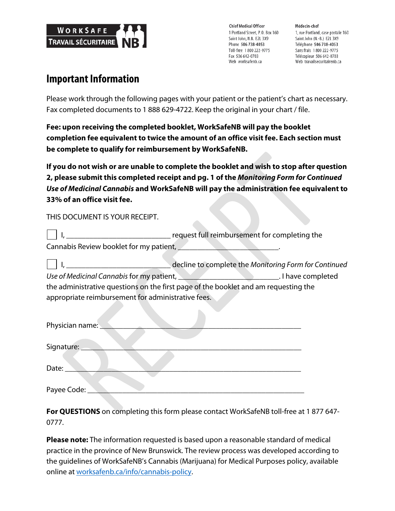

**Chief Medical Officer** 1 Portland Street, P.O. Box 160 Saint John, N.B. E2L 3X9 Phone 506 738-4053 Toll-free 1800 222-9775 Fax 506 642-0703 Web worksafenb.ca

Médecin-chef 1, rue Portland, case postale 160 Saint John (N.-B.) E2L 3X9 Téléphone 506 738-4053 Sans frais 1800 222-9775 Télécopieur 506 642-0703 Web travailsecuritairenb.ca

## **Important Information**

Please work through the following pages with your patient or the patient's chart as necessary. Fax completed documents to 1 888 629-4722. Keep the original in your chart / file.

**Fee: upon receiving the completed booklet, WorkSafeNB will pay the booklet completion fee equivalent to twice the amount of an office visit fee. Each section must be complete to qualify for reimbursement by WorkSafeNB.**

**If you do not wish or are unable to complete the booklet and wish to stop after question 2, please submit this completed receipt and pg. 1 of the** *Monitoring Form for Continued Use of Medicinal Cannabis* **and WorkSafeNB will pay the administration fee equivalent to 33% of an office visit fee.**

THIS DOCUMENT IS YOUR RECEIPT.

|                                         | request full reimbursement for completing the |
|-----------------------------------------|-----------------------------------------------|
| Cannabis Review booklet for my patient, |                                               |

|                                                                                     | decline to complete the Monitoring Form for Continued |
|-------------------------------------------------------------------------------------|-------------------------------------------------------|
| Use of Medicinal Cannabis for my patient,                                           | . I have completed                                    |
| the administrative questions on the first page of the booklet and am requesting the |                                                       |
| appropriate reimbursement for administrative fees.                                  |                                                       |

| Physician name: _ |
|-------------------|
| Signature:        |
| Date:             |
| Payee Code:       |

**For QUESTIONS** on completing this form please contact WorkSafeNB toll-free at 1 877 647- 0777.

**Please note:** The information requested is based upon a reasonable standard of medical practice in the province of New Brunswick. The review process was developed according to the guidelines of WorkSafeNB's Cannabis (Marijuana) for Medical Purposes policy, available online at worksafenb.ca/info/cannabis-policy.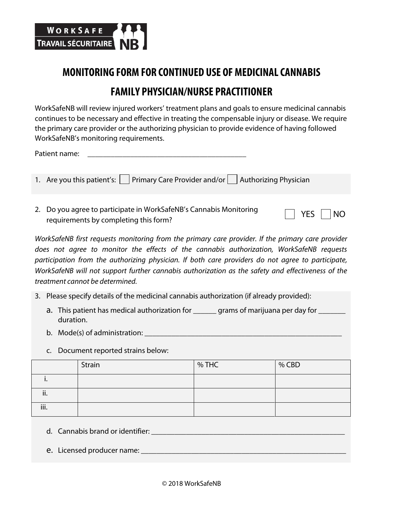

## **MONITORING FORM FOR CONTINUED USE OF MEDICINAL CANNABIS FAMILY PHYSICIAN/NURSE PRACTITIONER**

WorkSafeNB will review injured workers' treatment plans and goals to ensure medicinal cannabis continues to be necessary and effective in treating the compensable injury or disease. We require the primary care provider or the authorizing physician to provide evidence of having followed WorkSafeNB's monitoring requirements.

Patient name:

- 1. Are you this patient's: Primary Care Provider and/or  $\Box$  Authorizing Physician
- 2. Do you agree to participate in WorkSafeNB's Cannabis Monitoring bo you agree to participate in Worksalervo's Cannabis Monitoring Tressection PES NO

*WorkSafeNB first requests monitoring from the primary care provider. If the primary care provider does not agree to monitor the effects of the cannabis authorization, WorkSafeNB requests participation from the authorizing physician. If both care providers do not agree to participate, WorkSafeNB will not support further cannabis authorization as the safety and effectiveness of the treatment cannot be determined.*

- 3. Please specify details of the medicinal cannabis authorization (if already provided):
	- a. This patient has medical authorization for \_\_\_\_\_\_ grams of marijuana per day for \_\_\_\_\_\_ duration.
	- b. Mode(s) of administration:  $\Box$
	- c. Document reported strains below:

|      | Strain | % THC | % CBD |
|------|--------|-------|-------|
|      |        |       |       |
| ii.  |        |       |       |
| iii. |        |       |       |

- d. Cannabis brand or identifier: \_\_\_\_\_\_\_\_\_\_\_\_\_\_\_\_\_\_\_\_\_\_\_\_\_\_\_\_\_\_\_\_\_\_\_\_\_\_\_\_\_\_\_\_\_\_\_\_\_\_
- e. Licensed producer name: \_\_\_\_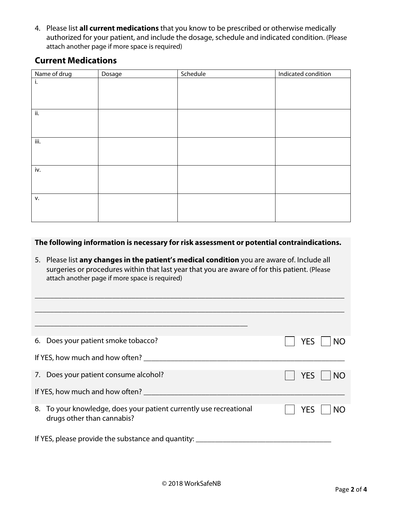4. Please list **all current medications** that you know to be prescribed or otherwise medically authorized for your patient, and include the dosage, schedule and indicated condition. (Please attach another page if more space is required)

## **Current Medications**

| Name of drug | Dosage | Schedule | Indicated condition |
|--------------|--------|----------|---------------------|
| i.           |        |          |                     |
|              |        |          |                     |
|              |        |          |                     |
| ii.          |        |          |                     |
|              |        |          |                     |
|              |        |          |                     |
| iii.         |        |          |                     |
|              |        |          |                     |
|              |        |          |                     |
| iv.          |        |          |                     |
|              |        |          |                     |
|              |        |          |                     |
| V.           |        |          |                     |
|              |        |          |                     |
|              |        |          |                     |

## **The following information is necessary for risk assessment or potential contraindications.**

5. Please list **any changes in the patient's medical condition** you are aware of. Include all surgeries or procedures within that last year that you are aware of for this patient. (Please attach another page if more space is required)

\_\_\_\_\_\_\_\_\_\_\_\_\_\_\_\_\_\_\_\_\_\_\_\_\_\_\_\_\_\_\_\_\_\_\_\_\_\_\_\_\_\_\_\_\_\_\_\_\_\_\_\_\_\_\_\_\_\_\_\_\_\_\_\_\_\_\_\_\_\_\_\_\_\_\_\_\_\_\_\_

| 6. Does your patient smoke tobacco?                                                              | <b>YES</b><br><b>NO</b> |
|--------------------------------------------------------------------------------------------------|-------------------------|
| If YES, how much and how often?                                                                  |                         |
| 7. Does your patient consume alcohol?                                                            | <b>YES</b><br>  NO      |
| If YES, how much and how often?                                                                  |                         |
| 8. To your knowledge, does your patient currently use recreational<br>drugs other than cannabis? | <b>NO</b><br><b>YES</b> |
| If YES, please provide the substance and quantity:                                               |                         |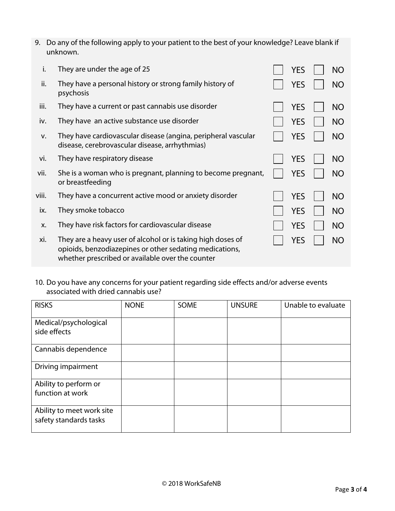| 9. Do any of the following apply to your patient to the best of your knowledge? Leave blank if |
|------------------------------------------------------------------------------------------------|
| unknown.                                                                                       |

| i.    | They are under the age of 25                                                                                                                                               | YES        | <b>NO</b> |
|-------|----------------------------------------------------------------------------------------------------------------------------------------------------------------------------|------------|-----------|
| ii.   | They have a personal history or strong family history of<br>psychosis                                                                                                      | <b>YES</b> | <b>NO</b> |
| iii.  | They have a current or past cannabis use disorder                                                                                                                          | <b>YES</b> | <b>NO</b> |
| iv.   | They have an active substance use disorder                                                                                                                                 | <b>YES</b> | <b>NO</b> |
| V.    | They have cardiovascular disease (angina, peripheral vascular<br>disease, cerebrovascular disease, arrhythmias)                                                            | <b>YES</b> | <b>NO</b> |
| vi.   | They have respiratory disease                                                                                                                                              | <b>YES</b> | <b>NO</b> |
| vii.  | She is a woman who is pregnant, planning to become pregnant,<br>or breastfeeding                                                                                           | YES        | <b>NO</b> |
| viii. | They have a concurrent active mood or anxiety disorder                                                                                                                     | <b>YES</b> | <b>NO</b> |
| ix.   | They smoke tobacco                                                                                                                                                         | YES        | <b>NO</b> |
| X.    | They have risk factors for cardiovascular disease                                                                                                                          | <b>YES</b> | <b>NO</b> |
| xi.   | They are a heavy user of alcohol or is taking high doses of<br>opioids, benzodiazepines or other sedating medications,<br>whether prescribed or available over the counter | YES        | <b>NO</b> |

10. Do you have any concerns for your patient regarding side effects and/or adverse events associated with dried cannabis use?

| <b>RISKS</b>                                        | <b>NONE</b> | SOME | <b>UNSURE</b> | Unable to evaluate |
|-----------------------------------------------------|-------------|------|---------------|--------------------|
| Medical/psychological<br>side effects               |             |      |               |                    |
| Cannabis dependence                                 |             |      |               |                    |
| Driving impairment                                  |             |      |               |                    |
| Ability to perform or<br>function at work           |             |      |               |                    |
| Ability to meet work site<br>safety standards tasks |             |      |               |                    |